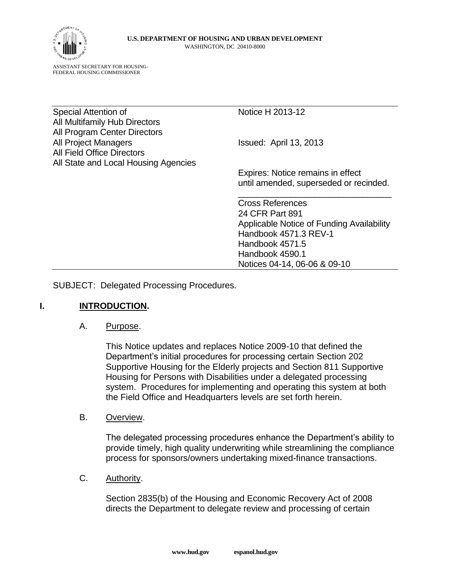

ASSISTANT SECRETARY FOR HOUSING-FEDERAL HOUSING COMMISSIONER

Special Attention of Notice H 2013-12 All Multifamily Hub Directors All Program Center Directors All Project Managers **Issued:** April 13, 2013 All Field Office Directors All State and Local Housing Agencies

Expires: Notice remains in effect until amended, superseded or recinded.

\_\_\_\_\_\_\_\_\_\_\_\_\_\_\_\_\_\_\_\_\_\_\_\_\_\_\_\_\_\_\_\_

Cross References 24 CFR Part 891 Applicable Notice of Funding Availability Handbook 4571.3 REV-1 Handbook 4571.5 Handbook 4590.1 Notices 04-14, 06-06 & 09-10

SUBJECT: Delegated Processing Procedures.

#### **I. INTRODUCTION.**

#### A. Purpose.

This Notice updates and replaces Notice 2009-10 that defined the Department's initial procedures for processing certain Section 202 Supportive Housing for the Elderly projects and Section 811 Supportive Housing for Persons with Disabilities under a delegated processing system. Procedures for implementing and operating this system at both the Field Office and Headquarters levels are set forth herein.

B. Overview.

The delegated processing procedures enhance the Department's ability to provide timely, high quality underwriting while streamlining the compliance process for sponsors/owners undertaking mixed-finance transactions.

C. Authority.

Section 2835(b) of the Housing and Economic Recovery Act of 2008 directs the Department to delegate review and processing of certain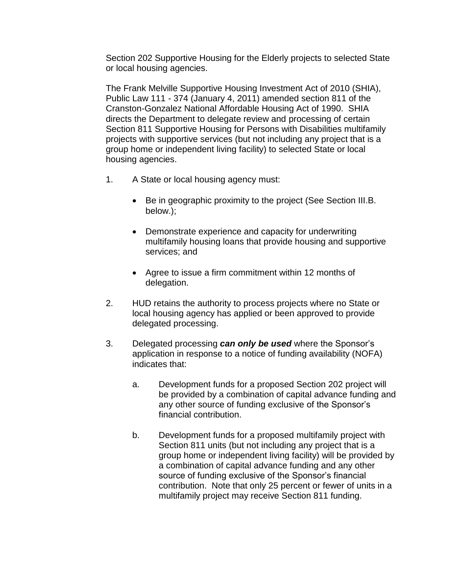Section 202 Supportive Housing for the Elderly projects to selected State or local housing agencies.

The Frank Melville Supportive Housing Investment Act of 2010 (SHIA), Public Law 111 - 374 (January 4, 2011) amended section 811 of the Cranston-Gonzalez National Affordable Housing Act of 1990. SHIA directs the Department to delegate review and processing of certain Section 811 Supportive Housing for Persons with Disabilities multifamily projects with supportive services (but not including any project that is a group home or independent living facility) to selected State or local housing agencies.

- 1. A State or local housing agency must:
	- Be in geographic proximity to the project (See Section III.B. below.);
	- Demonstrate experience and capacity for underwriting multifamily housing loans that provide housing and supportive services; and
	- Agree to issue a firm commitment within 12 months of delegation.
- 2. HUD retains the authority to process projects where no State or local housing agency has applied or been approved to provide delegated processing.
- 3. Delegated processing *can only be used* where the Sponsor's application in response to a notice of funding availability (NOFA) indicates that:
	- a. Development funds for a proposed Section 202 project will be provided by a combination of capital advance funding and any other source of funding exclusive of the Sponsor's financial contribution.
	- b. Development funds for a proposed multifamily project with Section 811 units (but not including any project that is a group home or independent living facility) will be provided by a combination of capital advance funding and any other source of funding exclusive of the Sponsor's financial contribution. Note that only 25 percent or fewer of units in a multifamily project may receive Section 811 funding.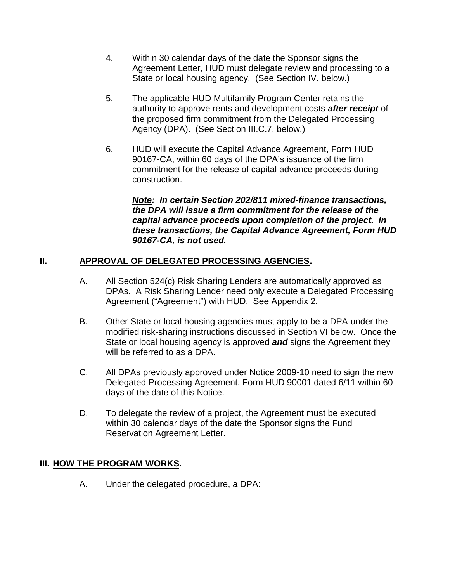- 4. Within 30 calendar days of the date the Sponsor signs the Agreement Letter, HUD must delegate review and processing to a State or local housing agency. (See Section IV. below.)
- 5. The applicable HUD Multifamily Program Center retains the authority to approve rents and development costs *after receipt* of the proposed firm commitment from the Delegated Processing Agency (DPA). (See Section III.C.7. below.)
- 6. HUD will execute the Capital Advance Agreement, Form HUD 90167-CA, within 60 days of the DPA's issuance of the firm commitment for the release of capital advance proceeds during construction.

*Note: In certain Section 202/811 mixed-finance transactions, the DPA will issue a firm commitment for the release of the capital advance proceeds upon completion of the project. In these transactions, the Capital Advance Agreement, Form HUD 90167-CA*, *is not used.*

## **II. APPROVAL OF DELEGATED PROCESSING AGENCIES.**

- A. All Section 524(c) Risk Sharing Lenders are automatically approved as DPAs. A Risk Sharing Lender need only execute a Delegated Processing Agreement ("Agreement") with HUD. See Appendix 2.
- B. Other State or local housing agencies must apply to be a DPA under the modified risk-sharing instructions discussed in Section VI below. Once the State or local housing agency is approved *and* signs the Agreement they will be referred to as a DPA.
- C. All DPAs previously approved under Notice 2009-10 need to sign the new Delegated Processing Agreement, Form HUD 90001 dated 6/11 within 60 days of the date of this Notice.
- D. To delegate the review of a project, the Agreement must be executed within 30 calendar days of the date the Sponsor signs the Fund Reservation Agreement Letter.

## **III. HOW THE PROGRAM WORKS.**

A. Under the delegated procedure, a DPA: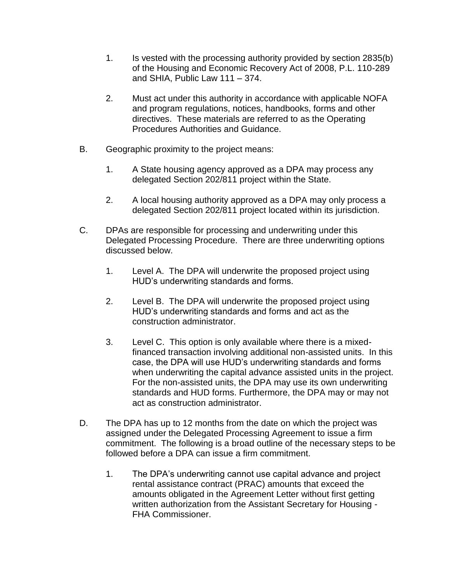- 1. Is vested with the processing authority provided by section 2835(b) of the Housing and Economic Recovery Act of 2008, P.L. 110-289 and SHIA, Public Law 111 – 374.
- 2. Must act under this authority in accordance with applicable NOFA and program regulations, notices, handbooks, forms and other directives. These materials are referred to as the Operating Procedures Authorities and Guidance.
- B. Geographic proximity to the project means:
	- 1. A State housing agency approved as a DPA may process any delegated Section 202/811 project within the State.
	- 2. A local housing authority approved as a DPA may only process a delegated Section 202/811 project located within its jurisdiction.
- C. DPAs are responsible for processing and underwriting under this Delegated Processing Procedure. There are three underwriting options discussed below.
	- 1. Level A. The DPA will underwrite the proposed project using HUD's underwriting standards and forms.
	- 2. Level B. The DPA will underwrite the proposed project using HUD's underwriting standards and forms and act as the construction administrator.
	- 3. Level C. This option is only available where there is a mixedfinanced transaction involving additional non-assisted units. In this case, the DPA will use HUD's underwriting standards and forms when underwriting the capital advance assisted units in the project. For the non-assisted units, the DPA may use its own underwriting standards and HUD forms. Furthermore, the DPA may or may not act as construction administrator.
- D. The DPA has up to 12 months from the date on which the project was assigned under the Delegated Processing Agreement to issue a firm commitment. The following is a broad outline of the necessary steps to be followed before a DPA can issue a firm commitment.
	- 1. The DPA's underwriting cannot use capital advance and project rental assistance contract (PRAC) amounts that exceed the amounts obligated in the Agreement Letter without first getting written authorization from the Assistant Secretary for Housing - FHA Commissioner.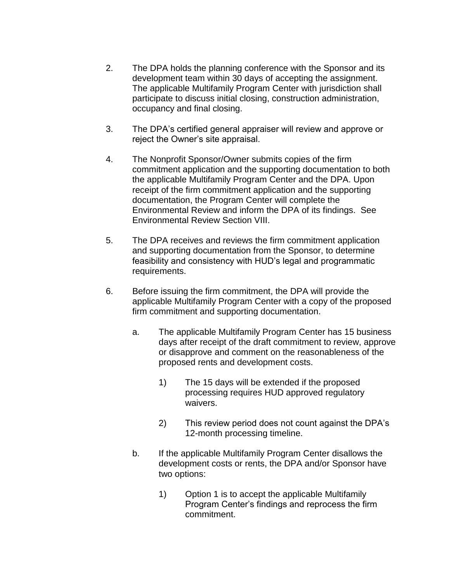- 2. The DPA holds the planning conference with the Sponsor and its development team within 30 days of accepting the assignment. The applicable Multifamily Program Center with jurisdiction shall participate to discuss initial closing, construction administration, occupancy and final closing.
- 3. The DPA's certified general appraiser will review and approve or reject the Owner's site appraisal.
- 4. The Nonprofit Sponsor/Owner submits copies of the firm commitment application and the supporting documentation to both the applicable Multifamily Program Center and the DPA. Upon receipt of the firm commitment application and the supporting documentation, the Program Center will complete the Environmental Review and inform the DPA of its findings. See Environmental Review Section VIII.
- 5. The DPA receives and reviews the firm commitment application and supporting documentation from the Sponsor, to determine feasibility and consistency with HUD's legal and programmatic requirements.
- 6. Before issuing the firm commitment, the DPA will provide the applicable Multifamily Program Center with a copy of the proposed firm commitment and supporting documentation.
	- a. The applicable Multifamily Program Center has 15 business days after receipt of the draft commitment to review, approve or disapprove and comment on the reasonableness of the proposed rents and development costs.
		- 1) The 15 days will be extended if the proposed processing requires HUD approved regulatory waivers.
		- 2) This review period does not count against the DPA's 12-month processing timeline.
	- b. If the applicable Multifamily Program Center disallows the development costs or rents, the DPA and/or Sponsor have two options:
		- 1) Option 1 is to accept the applicable Multifamily Program Center's findings and reprocess the firm commitment.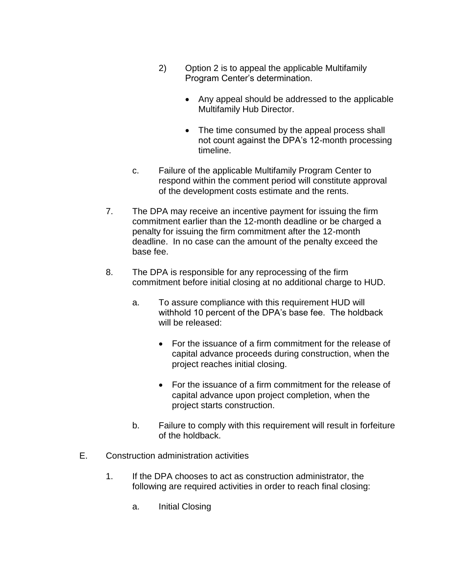- 2) Option 2 is to appeal the applicable Multifamily Program Center's determination.
	- Any appeal should be addressed to the applicable Multifamily Hub Director.
	- The time consumed by the appeal process shall not count against the DPA's 12-month processing timeline.
- c. Failure of the applicable Multifamily Program Center to respond within the comment period will constitute approval of the development costs estimate and the rents.
- 7. The DPA may receive an incentive payment for issuing the firm commitment earlier than the 12-month deadline or be charged a penalty for issuing the firm commitment after the 12-month deadline. In no case can the amount of the penalty exceed the base fee.
- 8. The DPA is responsible for any reprocessing of the firm commitment before initial closing at no additional charge to HUD.
	- a. To assure compliance with this requirement HUD will withhold 10 percent of the DPA's base fee. The holdback will be released:
		- For the issuance of a firm commitment for the release of capital advance proceeds during construction, when the project reaches initial closing.
		- For the issuance of a firm commitment for the release of capital advance upon project completion, when the project starts construction.
	- b. Failure to comply with this requirement will result in forfeiture of the holdback.
- E. Construction administration activities
	- 1. If the DPA chooses to act as construction administrator, the following are required activities in order to reach final closing:
		- a. Initial Closing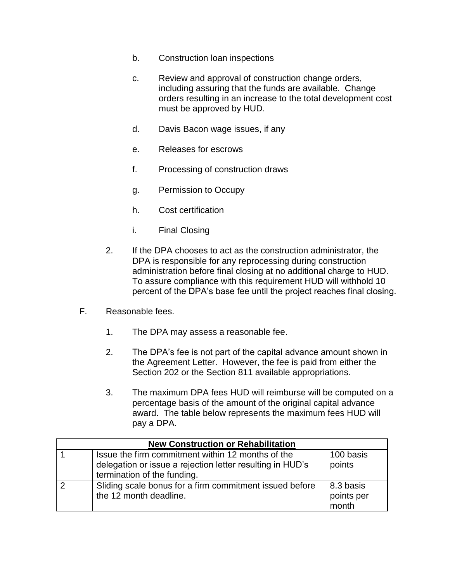- b. Construction loan inspections
- c. Review and approval of construction change orders, including assuring that the funds are available. Change orders resulting in an increase to the total development cost must be approved by HUD.
- d. Davis Bacon wage issues, if any
- e. Releases for escrows
- f. Processing of construction draws
- g. Permission to Occupy
- h. Cost certification
- i. Final Closing
- 2. If the DPA chooses to act as the construction administrator, the DPA is responsible for any reprocessing during construction administration before final closing at no additional charge to HUD. To assure compliance with this requirement HUD will withhold 10 percent of the DPA's base fee until the project reaches final closing.
- F. Reasonable fees.
	- 1. The DPA may assess a reasonable fee.
	- 2. The DPA's fee is not part of the capital advance amount shown in the Agreement Letter. However, the fee is paid from either the Section 202 or the Section 811 available appropriations.
	- 3. The maximum DPA fees HUD will reimburse will be computed on a percentage basis of the amount of the original capital advance award. The table below represents the maximum fees HUD will pay a DPA.

| <b>New Construction or Rehabilitation</b> |                                                                                                                                               |                                  |  |  |
|-------------------------------------------|-----------------------------------------------------------------------------------------------------------------------------------------------|----------------------------------|--|--|
|                                           | Issue the firm commitment within 12 months of the<br>delegation or issue a rejection letter resulting in HUD's<br>termination of the funding. | 100 basis<br>points              |  |  |
|                                           | Sliding scale bonus for a firm commitment issued before<br>the 12 month deadline.                                                             | 8.3 basis<br>points per<br>month |  |  |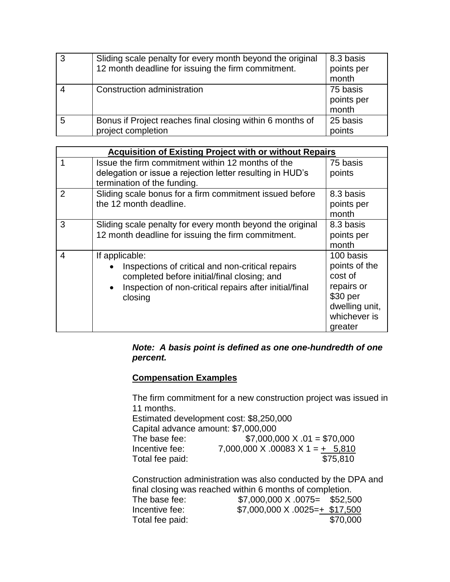| 3 | Sliding scale penalty for every month beyond the original<br>12 month deadline for issuing the firm commitment. | 8.3 basis<br>points per<br>month |
|---|-----------------------------------------------------------------------------------------------------------------|----------------------------------|
|   | Construction administration                                                                                     | 75 basis<br>points per<br>month  |
| 5 | Bonus if Project reaches final closing within 6 months of<br>project completion                                 | 25 basis<br>points               |

| <b>Acquisition of Existing Project with or without Repairs</b> |                                                                                                                                                                                                                  |                                                                                                              |  |  |  |
|----------------------------------------------------------------|------------------------------------------------------------------------------------------------------------------------------------------------------------------------------------------------------------------|--------------------------------------------------------------------------------------------------------------|--|--|--|
|                                                                | Issue the firm commitment within 12 months of the<br>delegation or issue a rejection letter resulting in HUD's<br>termination of the funding.                                                                    | 75 basis<br>points                                                                                           |  |  |  |
| $\overline{2}$                                                 | Sliding scale bonus for a firm commitment issued before<br>the 12 month deadline.                                                                                                                                | 8.3 basis<br>points per<br>month                                                                             |  |  |  |
| 3                                                              | Sliding scale penalty for every month beyond the original<br>12 month deadline for issuing the firm commitment.                                                                                                  | 8.3 basis<br>points per<br>month                                                                             |  |  |  |
| 4                                                              | If applicable:<br>Inspections of critical and non-critical repairs<br>$\bullet$<br>completed before initial/final closing; and<br>Inspection of non-critical repairs after initial/final<br>$\bullet$<br>closing | 100 basis<br>points of the<br>cost of<br>repairs or<br>\$30 per<br>dwelling unit,<br>whichever is<br>greater |  |  |  |

#### *Note: A basis point is defined as one one-hundredth of one percent.*

# **Compensation Examples**

The firm commitment for a new construction project was issued in 11 months. Estimated development cost: \$8,250,000

| Capital advance amount: \$7,000,000 |                                    |
|-------------------------------------|------------------------------------|
| The base fee:                       | $$7,000,000 \times .01 = $70,000$  |
| Incentive fee:                      | $7,000,000$ X .00083 X 1 = + 5,810 |
| Total fee paid:                     | \$75,810                           |

Construction administration was also conducted by the DPA and final closing was reached within 6 months of completion. The base fee: \$7,000,000 X .0075= \$52,500

| The pase ree:   | UUC, SC& =C\UU. A UUU,UUU, \&        |          |
|-----------------|--------------------------------------|----------|
| Incentive fee:  | $$7,000,000 \times 0025 = + $17,500$ |          |
| Total fee paid: |                                      | \$70,000 |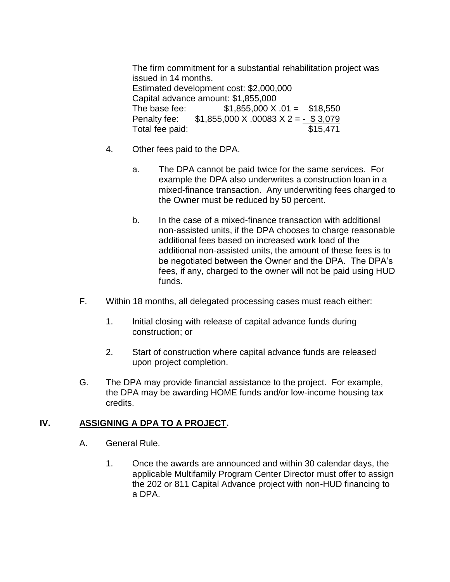The firm commitment for a substantial rehabilitation project was issued in 14 months. Estimated development cost: \$2,000,000 Capital advance amount: \$1,855,000 The base fee:  $$1,855,000 \text{ X}.01 = $18,550$ Penalty fee:  $$1,855,000 \times 0.0083 \times 2 = - $3,079$ Total fee paid:  $$15,471$ 

- 4. Other fees paid to the DPA.
	- a. The DPA cannot be paid twice for the same services. For example the DPA also underwrites a construction loan in a mixed-finance transaction. Any underwriting fees charged to the Owner must be reduced by 50 percent.
	- b. In the case of a mixed-finance transaction with additional non-assisted units, if the DPA chooses to charge reasonable additional fees based on increased work load of the additional non-assisted units, the amount of these fees is to be negotiated between the Owner and the DPA. The DPA's fees, if any, charged to the owner will not be paid using HUD funds.
- F. Within 18 months, all delegated processing cases must reach either:
	- 1. Initial closing with release of capital advance funds during construction; or
	- 2. Start of construction where capital advance funds are released upon project completion.
- G. The DPA may provide financial assistance to the project. For example, the DPA may be awarding HOME funds and/or low-income housing tax credits.

#### **IV. ASSIGNING A DPA TO A PROJECT.**

- A. General Rule.
	- 1. Once the awards are announced and within 30 calendar days, the applicable Multifamily Program Center Director must offer to assign the 202 or 811 Capital Advance project with non-HUD financing to a DPA.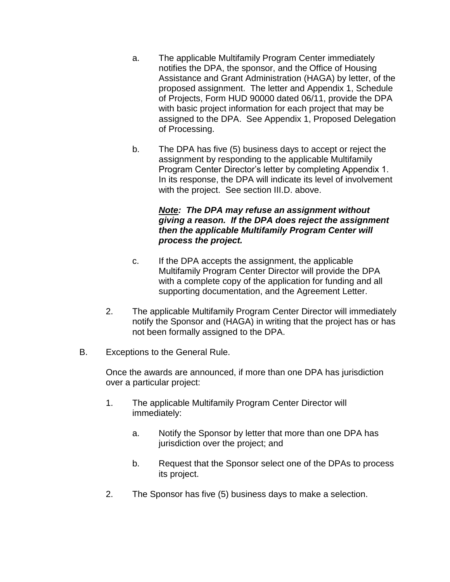- a. The applicable Multifamily Program Center immediately notifies the DPA, the sponsor, and the Office of Housing Assistance and Grant Administration (HAGA) by letter, of the proposed assignment. The letter and Appendix 1, Schedule of Projects, Form HUD 90000 dated 06/11, provide the DPA with basic project information for each project that may be assigned to the DPA. See Appendix 1, Proposed Delegation of Processing.
- b. The DPA has five (5) business days to accept or reject the assignment by responding to the applicable Multifamily Program Center Director's letter by completing Appendix 1. In its response, the DPA will indicate its level of involvement with the project. See section III.D. above.

#### *Note: The DPA may refuse an assignment without giving a reason. If the DPA does reject the assignment then the applicable Multifamily Program Center will process the project.*

- c. If the DPA accepts the assignment, the applicable Multifamily Program Center Director will provide the DPA with a complete copy of the application for funding and all supporting documentation, and the Agreement Letter.
- 2. The applicable Multifamily Program Center Director will immediately notify the Sponsor and (HAGA) in writing that the project has or has not been formally assigned to the DPA.
- B. Exceptions to the General Rule.

Once the awards are announced, if more than one DPA has jurisdiction over a particular project:

- 1. The applicable Multifamily Program Center Director will immediately:
	- a. Notify the Sponsor by letter that more than one DPA has jurisdiction over the project; and
	- b. Request that the Sponsor select one of the DPAs to process its project.
- 2. The Sponsor has five (5) business days to make a selection.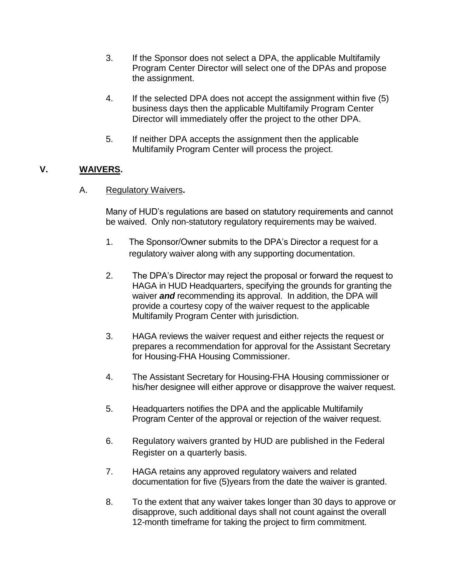- 3. If the Sponsor does not select a DPA, the applicable Multifamily Program Center Director will select one of the DPAs and propose the assignment.
- 4. If the selected DPA does not accept the assignment within five (5) business days then the applicable Multifamily Program Center Director will immediately offer the project to the other DPA.
- 5. If neither DPA accepts the assignment then the applicable Multifamily Program Center will process the project.

# **V. WAIVERS.**

### A. Regulatory Waivers**.**

Many of HUD's regulations are based on statutory requirements and cannot be waived. Only non-statutory regulatory requirements may be waived.

- 1. The Sponsor/Owner submits to the DPA's Director a request for a regulatory waiver along with any supporting documentation.
- 2. The DPA's Director may reject the proposal or forward the request to HAGA in HUD Headquarters, specifying the grounds for granting the waiver *and* recommending its approval. In addition, the DPA will provide a courtesy copy of the waiver request to the applicable Multifamily Program Center with jurisdiction.
- 3. HAGA reviews the waiver request and either rejects the request or prepares a recommendation for approval for the Assistant Secretary for Housing-FHA Housing Commissioner.
- 4. The Assistant Secretary for Housing-FHA Housing commissioner or his/her designee will either approve or disapprove the waiver request.
- 5. Headquarters notifies the DPA and the applicable Multifamily Program Center of the approval or rejection of the waiver request.
- 6. Regulatory waivers granted by HUD are published in the Federal Register on a quarterly basis.
- 7. HAGA retains any approved regulatory waivers and related documentation for five (5)years from the date the waiver is granted.
- 8. To the extent that any waiver takes longer than 30 days to approve or disapprove, such additional days shall not count against the overall 12-month timeframe for taking the project to firm commitment.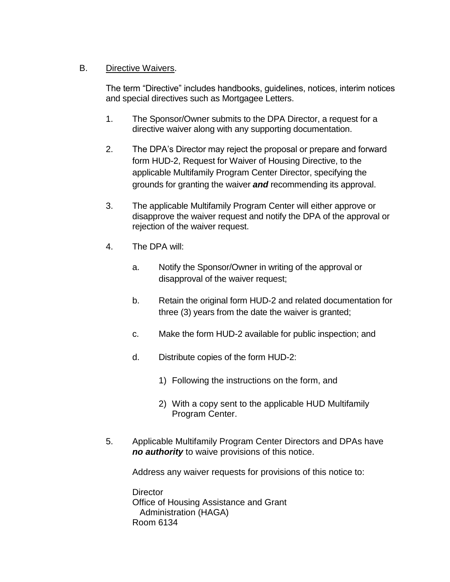## B. Directive Waivers.

The term "Directive" includes handbooks, guidelines, notices, interim notices and special directives such as Mortgagee Letters.

- 1. The Sponsor/Owner submits to the DPA Director, a request for a directive waiver along with any supporting documentation.
- 2. The DPA's Director may reject the proposal or prepare and forward form HUD-2, Request for Waiver of Housing Directive, to the applicable Multifamily Program Center Director, specifying the grounds for granting the waiver *and* recommending its approval.
- 3. The applicable Multifamily Program Center will either approve or disapprove the waiver request and notify the DPA of the approval or rejection of the waiver request.
- 4. The DPA will:
	- a. Notify the Sponsor/Owner in writing of the approval or disapproval of the waiver request;
	- b. Retain the original form HUD-2 and related documentation for three (3) years from the date the waiver is granted;
	- c. Make the form HUD-2 available for public inspection; and
	- d. Distribute copies of the form HUD-2:
		- 1) Following the instructions on the form, and
		- 2) With a copy sent to the applicable HUD Multifamily Program Center.
- 5. Applicable Multifamily Program Center Directors and DPAs have *no authority* to waive provisions of this notice.

Address any waiver requests for provisions of this notice to:

**Director** Office of Housing Assistance and Grant Administration (HAGA) Room 6134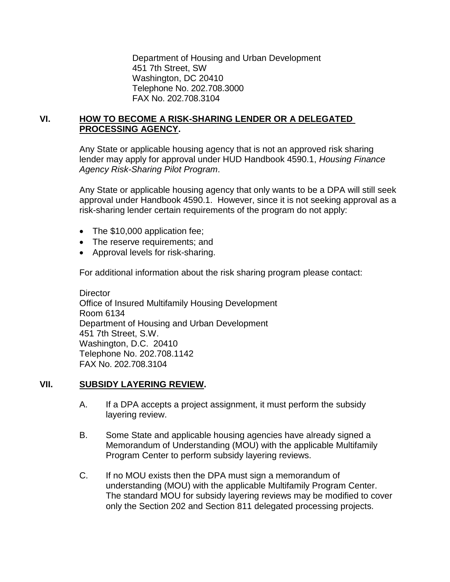Department of Housing and Urban Development 451 7th Street, SW Washington, DC 20410 Telephone No. 202.708.3000 FAX No. 202.708.3104

### **VI. HOW TO BECOME A RISK-SHARING LENDER OR A DELEGATED PROCESSING AGENCY.**

Any State or applicable housing agency that is not an approved risk sharing lender may apply for approval under HUD Handbook 4590.1, *Housing Finance Agency Risk-Sharing Pilot Program*.

Any State or applicable housing agency that only wants to be a DPA will still seek approval under Handbook 4590.1. However, since it is not seeking approval as a risk-sharing lender certain requirements of the program do not apply:

- The \$10,000 application fee;
- The reserve requirements; and
- Approval levels for risk-sharing.

For additional information about the risk sharing program please contact:

**Director** Office of Insured Multifamily Housing Development Room 6134 Department of Housing and Urban Development 451 7th Street, S.W. Washington, D.C. 20410 Telephone No. 202.708.1142 FAX No. 202.708.3104

#### **VII. SUBSIDY LAYERING REVIEW.**

- A. If a DPA accepts a project assignment, it must perform the subsidy layering review.
- B. Some State and applicable housing agencies have already signed a Memorandum of Understanding (MOU) with the applicable Multifamily Program Center to perform subsidy layering reviews.
- C. If no MOU exists then the DPA must sign a memorandum of understanding (MOU) with the applicable Multifamily Program Center. The standard MOU for subsidy layering reviews may be modified to cover only the Section 202 and Section 811 delegated processing projects.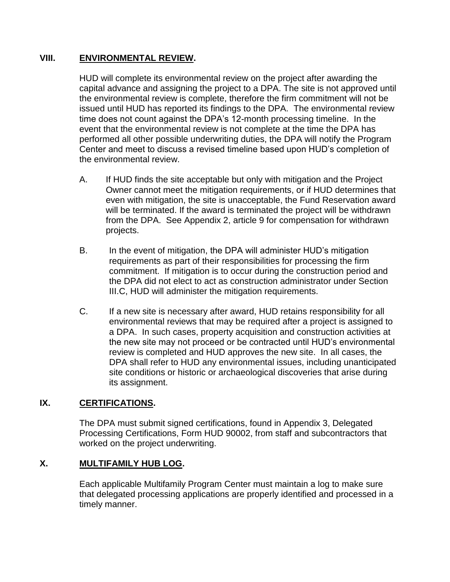### **VIII. ENVIRONMENTAL REVIEW.**

HUD will complete its environmental review on the project after awarding the capital advance and assigning the project to a DPA. The site is not approved until the environmental review is complete, therefore the firm commitment will not be issued until HUD has reported its findings to the DPA. The environmental review time does not count against the DPA's 12-month processing timeline. In the event that the environmental review is not complete at the time the DPA has performed all other possible underwriting duties, the DPA will notify the Program Center and meet to discuss a revised timeline based upon HUD's completion of the environmental review.

- A. If HUD finds the site acceptable but only with mitigation and the Project Owner cannot meet the mitigation requirements, or if HUD determines that even with mitigation, the site is unacceptable, the Fund Reservation award will be terminated. If the award is terminated the project will be withdrawn from the DPA. See Appendix 2, article 9 for compensation for withdrawn projects.
- B. In the event of mitigation, the DPA will administer HUD's mitigation requirements as part of their responsibilities for processing the firm commitment. If mitigation is to occur during the construction period and the DPA did not elect to act as construction administrator under Section III.C, HUD will administer the mitigation requirements.
- C. If a new site is necessary after award, HUD retains responsibility for all environmental reviews that may be required after a project is assigned to a DPA. In such cases, property acquisition and construction activities at the new site may not proceed or be contracted until HUD's environmental review is completed and HUD approves the new site. In all cases, the DPA shall refer to HUD any environmental issues, including unanticipated site conditions or historic or archaeological discoveries that arise during its assignment.

## **IX. CERTIFICATIONS.**

The DPA must submit signed certifications, found in Appendix 3, Delegated Processing Certifications, Form HUD 90002, from staff and subcontractors that worked on the project underwriting.

## **X. MULTIFAMILY HUB LOG.**

Each applicable Multifamily Program Center must maintain a log to make sure that delegated processing applications are properly identified and processed in a timely manner.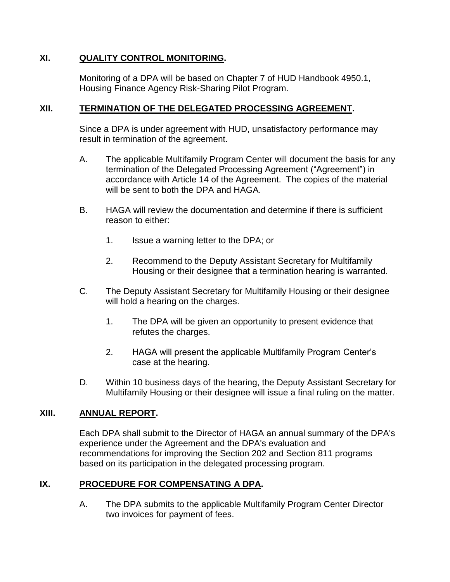### **XI. QUALITY CONTROL MONITORING.**

Monitoring of a DPA will be based on Chapter 7 of HUD Handbook 4950.1, Housing Finance Agency Risk-Sharing Pilot Program.

### **XII. TERMINATION OF THE DELEGATED PROCESSING AGREEMENT.**

Since a DPA is under agreement with HUD, unsatisfactory performance may result in termination of the agreement.

- A. The applicable Multifamily Program Center will document the basis for any termination of the Delegated Processing Agreement ("Agreement") in accordance with Article 14 of the Agreement. The copies of the material will be sent to both the DPA and HAGA.
- B. HAGA will review the documentation and determine if there is sufficient reason to either:
	- 1. Issue a warning letter to the DPA; or
	- 2. Recommend to the Deputy Assistant Secretary for Multifamily Housing or their designee that a termination hearing is warranted.
- C. The Deputy Assistant Secretary for Multifamily Housing or their designee will hold a hearing on the charges.
	- 1. The DPA will be given an opportunity to present evidence that refutes the charges.
	- 2. HAGA will present the applicable Multifamily Program Center's case at the hearing.
- D. Within 10 business days of the hearing, the Deputy Assistant Secretary for Multifamily Housing or their designee will issue a final ruling on the matter.

### **XIII. ANNUAL REPORT.**

Each DPA shall submit to the Director of HAGA an annual summary of the DPA's experience under the Agreement and the DPA's evaluation and recommendations for improving the Section 202 and Section 811 programs based on its participation in the delegated processing program.

## **IX. PROCEDURE FOR COMPENSATING A DPA.**

A. The DPA submits to the applicable Multifamily Program Center Director two invoices for payment of fees.